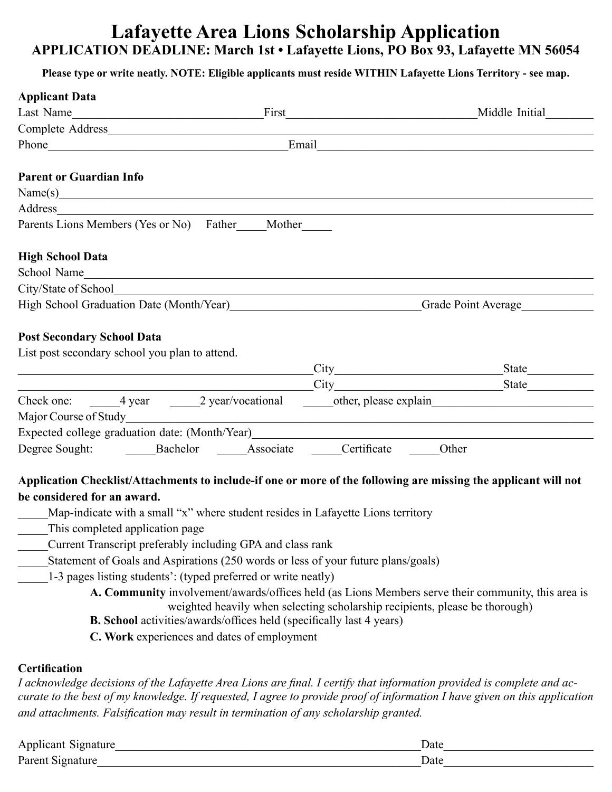## **Lafayette Area Lions Scholarship Application APPLICATION DEADLINE: March 1st • Lafayette Lions, PO Box 93, Lafayette MN 56054**

## **Please type or write neatly. NOTE: Eligible applicants must reside WITHIN Lafayette Lions Territory - see map.**

| <b>Applicant Data</b>                                                                                                                                                                                                          |       |                                                                                                                                                                                                                                      |
|--------------------------------------------------------------------------------------------------------------------------------------------------------------------------------------------------------------------------------|-------|--------------------------------------------------------------------------------------------------------------------------------------------------------------------------------------------------------------------------------------|
| Last Name<br><u> 1989 - Johann John Stone, mars and de Brasilian (b. 1989)</u>                                                                                                                                                 | First | Middle Initial                                                                                                                                                                                                                       |
|                                                                                                                                                                                                                                |       |                                                                                                                                                                                                                                      |
|                                                                                                                                                                                                                                |       | Email <u>and the community of the community of the community of the community of the community of the community of the community of the community of the community of the community of the community of the community of the com</u> |
| <b>Parent or Guardian Info</b>                                                                                                                                                                                                 |       |                                                                                                                                                                                                                                      |
| Name(s)                                                                                                                                                                                                                        |       |                                                                                                                                                                                                                                      |
| Address and the contract of the contract of the contract of the contract of the contract of the contract of the contract of the contract of the contract of the contract of the contract of the contract of the contract of th |       |                                                                                                                                                                                                                                      |
| Parents Lions Members (Yes or No) Father Mother                                                                                                                                                                                |       |                                                                                                                                                                                                                                      |
| <b>High School Data</b>                                                                                                                                                                                                        |       |                                                                                                                                                                                                                                      |
| School Name                                                                                                                                                                                                                    |       |                                                                                                                                                                                                                                      |
|                                                                                                                                                                                                                                |       |                                                                                                                                                                                                                                      |
|                                                                                                                                                                                                                                |       | High School Graduation Date (Month/Year) Grade Point Average                                                                                                                                                                         |
| <b>Post Secondary School Data</b>                                                                                                                                                                                              |       |                                                                                                                                                                                                                                      |
| List post secondary school you plan to attend.                                                                                                                                                                                 |       |                                                                                                                                                                                                                                      |
|                                                                                                                                                                                                                                |       | $\text{City}$<br>State                                                                                                                                                                                                               |
|                                                                                                                                                                                                                                |       | City State State State State State State State State State State State State State State State State State State State State State State State State State State State State State State State State State State State State S       |
| Check one: 4 year 2 year/vocational                                                                                                                                                                                            |       | other, please explain                                                                                                                                                                                                                |
|                                                                                                                                                                                                                                |       |                                                                                                                                                                                                                                      |
|                                                                                                                                                                                                                                |       | Expected college graduation date: (Month/Year)                                                                                                                                                                                       |
| Degree Sought: Bachelor Associate Certificate                                                                                                                                                                                  |       | Other                                                                                                                                                                                                                                |
|                                                                                                                                                                                                                                |       |                                                                                                                                                                                                                                      |
|                                                                                                                                                                                                                                |       | Application Checklist/Attachments to include-if one or more of the following are missing the applicant will not                                                                                                                      |
| be considered for an award.                                                                                                                                                                                                    |       |                                                                                                                                                                                                                                      |

- Map-indicate with a small "x" where student resides in Lafayette Lions territory
- This completed application page
- \_\_\_\_\_Current Transcript preferably including GPA and class rank
- Statement of Goals and Aspirations (250 words or less of your future plans/goals)
- 1-3 pages listing students': (typed preferred or write neatly)
	- **A. Community** involvement/awards/offices held (as Lions Members serve their community, this area is weighted heavily when selecting scholarship recipients, please be thorough)
	- **B. School** activities/awards/offices held (specifically last 4 years)
	- **C. Work** experiences and dates of employment

## **Certification**

*I acknowledge decisions of the Lafayette Area Lions are final. I certify that information provided is complete and accurate to the best of my knowledge. If requested, I agree to provide proof of information I have given on this application and attachments. Falsification may result in termination of any scholarship granted.*

| $\rightarrow$<br>Applicant Signature | Jate |
|--------------------------------------|------|
| Parent Sig                           | Jate |